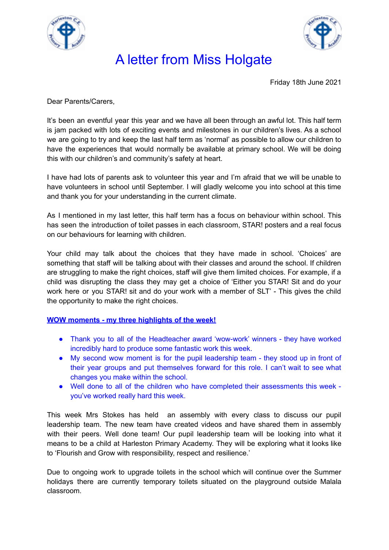



Friday 18th June 2021

Dear Parents/Carers,

It's been an eventful year this year and we have all been through an awful lot. This half term is jam packed with lots of exciting events and milestones in our children's lives. As a school we are going to try and keep the last half term as 'normal' as possible to allow our children to have the experiences that would normally be available at primary school. We will be doing this with our children's and community's safety at heart.

I have had lots of parents ask to volunteer this year and I'm afraid that we will be unable to have volunteers in school until September. I will gladly welcome you into school at this time and thank you for your understanding in the current climate.

As I mentioned in my last letter, this half term has a focus on behaviour within school. This has seen the introduction of toilet passes in each classroom, STAR! posters and a real focus on our behaviours for learning with children.

Your child may talk about the choices that they have made in school. 'Choices' are something that staff will be talking about with their classes and around the school. If children are struggling to make the right choices, staff will give them limited choices. For example, if a child was disrupting the class they may get a choice of 'Either you STAR! Sit and do your work here or you STAR! sit and do your work with a member of SLT' - This gives the child the opportunity to make the right choices.

#### **WOW moments - my three highlights of the week!**

- Thank you to all of the Headteacher award 'wow-work' winners they have worked incredibly hard to produce some fantastic work this week.
- My second wow moment is for the pupil leadership team they stood up in front of their year groups and put themselves forward for this role. I can't wait to see what changes you make within the school.
- Well done to all of the children who have completed their assessments this week you've worked really hard this week.

This week Mrs Stokes has held an assembly with every class to discuss our pupil leadership team. The new team have created videos and have shared them in assembly with their peers. Well done team! Our pupil leadership team will be looking into what it means to be a child at Harleston Primary Academy. They will be exploring what it looks like to 'Flourish and Grow with responsibility, respect and resilience.'

Due to ongoing work to upgrade toilets in the school which will continue over the Summer holidays there are currently temporary toilets situated on the playground outside Malala classroom.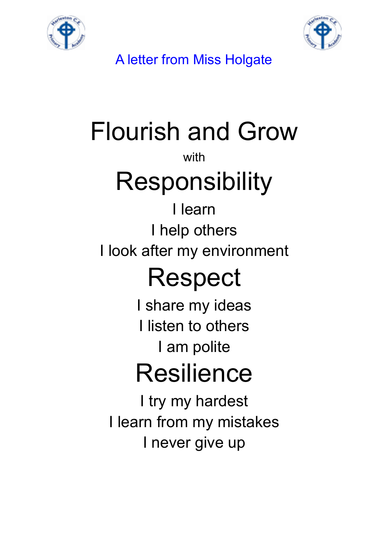



# Flourish and Grow

### with

## **Responsibility**

### I learn I help others I look after my environment

## Respect

I share my ideas I listen to others I am polite

## Resilience

I try my hardest I learn from my mistakes I never give up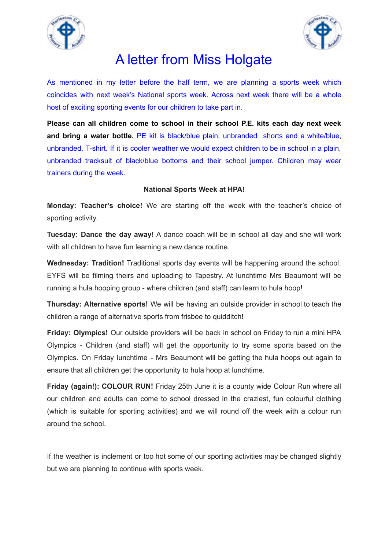



As mentioned in my letter before the half term, we are planning a sports week which coincides with next week's National sports week. Across next week there will be a whole host of exciting sporting events for our children to take part in.

**Please can all children come to school in their school P.E. kits each day next week and bring a water bottle.** PE kit is black/blue plain, unbranded shorts and a white/blue, unbranded, T-shirt. If it is cooler weather we would expect children to be in school in a plain, unbranded tracksuit of black/blue bottoms and their school jumper. Children may wear trainers during the week.

#### **National Sports Week at HPA!**

**Monday: Teacher's choice!** We are starting off the week with the teacher's choice of sporting activity.

**Tuesday: Dance the day away!** A dance coach will be in school all day and she will work with all children to have fun learning a new dance routine.

**Wednesday: Tradition!** Traditional sports day events will be happening around the school. EYFS will be filming theirs and uploading to Tapestry. At lunchtime Mrs Beaumont will be running a hula hooping group - where children (and staff) can learn to hula hoop!

**Thursday: Alternative sports!** We will be having an outside provider in school to teach the children a range of alternative sports from frisbee to quidditch!

**Friday: Olympics!** Our outside providers will be back in school on Friday to run a mini HPA Olympics - Children (and staff) will get the opportunity to try some sports based on the Olympics. On Friday lunchtime - Mrs Beaumont will be getting the hula hoops out again to ensure that all children get the opportunity to hula hoop at lunchtime.

**Friday (again!): COLOUR RUN!** Friday 25th June it is a county wide Colour Run where all our children and adults can come to school dressed in the craziest, fun colourful clothing (which is suitable for sporting activities) and we will round off the week with a colour run around the school.

If the weather is inclement or too hot some of our sporting activities may be changed slightly but we are planning to continue with sports week.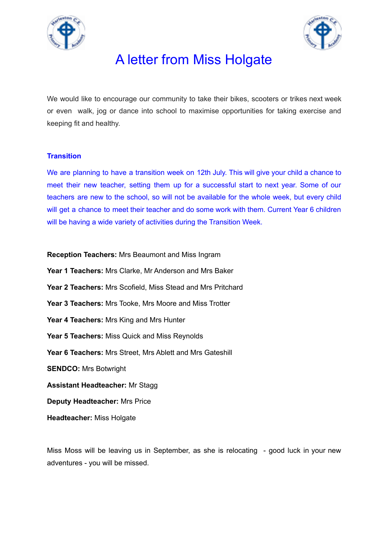



We would like to encourage our community to take their bikes, scooters or trikes next week or even walk, jog or dance into school to maximise opportunities for taking exercise and keeping fit and healthy.

#### **Transition**

We are planning to have a transition week on 12th July. This will give your child a chance to meet their new teacher, setting them up for a successful start to next year. Some of our teachers are new to the school, so will not be available for the whole week, but every child will get a chance to meet their teacher and do some work with them. Current Year 6 children will be having a wide variety of activities during the Transition Week.

**Reception Teachers:** Mrs Beaumont and Miss Ingram **Year 1 Teachers:** Mrs Clarke, Mr Anderson and Mrs Baker **Year 2 Teachers:** Mrs Scofield, Miss Stead and Mrs Pritchard **Year 3 Teachers:** Mrs Tooke, Mrs Moore and Miss Trotter **Year 4 Teachers:** Mrs King and Mrs Hunter **Year 5 Teachers:** Miss Quick and Miss Reynolds **Year 6 Teachers:** Mrs Street, Mrs Ablett and Mrs Gateshill **SENDCO:** Mrs Botwright **Assistant Headteacher:** Mr Stagg **Deputy Headteacher:** Mrs Price **Headteacher:** Miss Holgate

Miss Moss will be leaving us in September, as she is relocating - good luck in your new adventures - you will be missed.